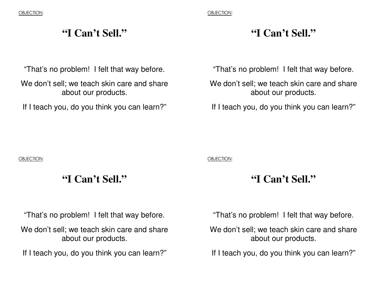#### OBJECTION:

## **"I Can't Sell."**

"That's no problem! I felt that way before.

**"I Can't Sell."** 

We don't sell; we teach skin care and share about our products.

If I teach you, do you think you can learn?"

"That's no problem! I felt that way before.

We don't sell; we teach skin care and share about our products.

If I teach you, do you think you can learn?"

OBJECTION:

#### **"I Can't Sell."**

OBJECTION:

## **"I Can't Sell."**

"That's no problem! I felt that way before.

We don't sell; we teach skin care and share about our products.

If I teach you, do you think you can learn?"

"That's no problem! I felt that way before.

We don't sell; we teach skin care and share about our products.

If I teach you, do you think you can learn?"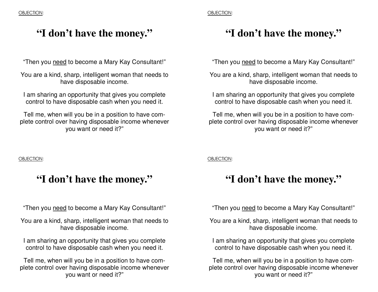## **"I don't have the money."**

"Then you need to become a Mary Kay Consultant!"

You are a kind, sharp, intelligent woman that needs to have disposable income.

I am sharing an opportunity that gives you complete control to have disposable cash when you need it.

Tell me, when will you be in a position to have complete control over having disposable income whenever you want or need it?"

# **"I don't have the money."**

"Then you need to become a Mary Kay Consultant!"

You are a kind, sharp, intelligent woman that needs to have disposable income.

I am sharing an opportunity that gives you complete control to have disposable cash when you need it.

Tell me, when will you be in a position to have complete control over having disposable income whenever you want or need it?"

#### OBJECTION:

### **"I don't have the money."**

"Then you need to become a Mary Kay Consultant!"

You are a kind, sharp, intelligent woman that needs to have disposable income.

I am sharing an opportunity that gives you complete control to have disposable cash when you need it.

Tell me, when will you be in a position to have complete control over having disposable income whenever you want or need it?"

#### OBJECTION:

# **"I don't have the money."**

"Then you need to become a Mary Kay Consultant!"

You are a kind, sharp, intelligent woman that needs to have disposable income.

I am sharing an opportunity that gives you complete control to have disposable cash when you need it.

Tell me, when will you be in a position to have complete control over having disposable income whenever you want or need it?"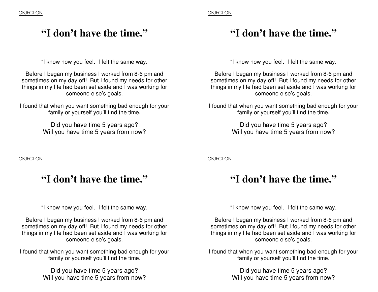### **"I don't have the time."**

"I know how you feel. I felt the same way.

Before I began my business I worked from 8-6 pm and sometimes on my day off! But I found my needs for other things in my life had been set aside and I was working for someone else's goals.

I found that when you want something bad enough for your family or yourself you'll find the time.

> Did you have time 5 years ago? Will you have time 5 years from now?

OBJECTION:

### **"I don't have the time."**

"I know how you feel. I felt the same way.

Before I began my business I worked from 8-6 pm and sometimes on my day off! But I found my needs for other things in my life had been set aside and I was working for someone else's goals.

I found that when you want something bad enough for your family or yourself you'll find the time.

> Did you have time 5 years ago? Will you have time 5 years from now?

## **"I don't have the time."**

"I know how you feel. I felt the same way.

Before I began my business I worked from 8-6 pm and sometimes on my day off! But I found my needs for other things in my life had been set aside and I was working for someone else's goals.

I found that when you want something bad enough for your family or yourself you'll find the time.

> Did you have time 5 years ago? Will you have time 5 years from now?

OBJECTION:

## **"I don't have the time."**

"I know how you feel. I felt the same way.

Before I began my business I worked from 8-6 pm and sometimes on my day off! But I found my needs for other things in my life had been set aside and I was working for someone else's goals.

I found that when you want something bad enough for your family or yourself you'll find the time.

> Did you have time 5 years ago? Will you have time 5 years from now?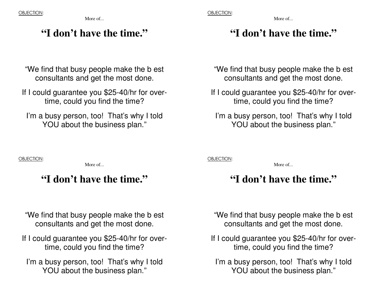More of...

## **"I don't have the time."**

"We find that busy people make the b est consultants and get the most done.

If I could guarantee you \$25-40/hr for overtime, could you find the time?

I'm a busy person, too! That's why I told YOU about the business plan."

OBJECTION:

More of...

### **"I don't have the time."**

"We find that busy people make the b est consultants and get the most done.

If I could guarantee you \$25-40/hr for overtime, could you find the time?

I'm a busy person, too! That's why I told YOU about the business plan."

More of...

# **"I don't have the time."**

"We find that busy people make the b est consultants and get the most done.

If I could guarantee you \$25-40/hr for overtime, could you find the time?

I'm a busy person, too! That's why I told YOU about the business plan."

OBJECTION:

More of...

## **"I don't have the time."**

"We find that busy people make the b est consultants and get the most done.

If I could guarantee you \$25-40/hr for overtime, could you find the time?

I'm a busy person, too! That's why I told YOU about the business plan."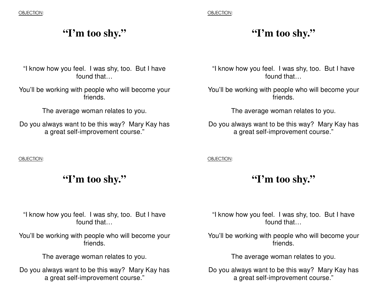## **"I'm too shy."**

"I know how you feel. I was shy, too. But I have found that…

**"I'm too shy."** 

You'll be working with people who will become your friends.

The average woman relates to you.

Do you always want to be this way? Mary Kay has a great self-improvement course."

OBJECTION:

## **"I'm too shy."**

#### "I know how you feel. I was shy, too. But I have found that…

You'll be working with people who will become your friends.

The average woman relates to you.

Do you always want to be this way? Mary Kay has a great self-improvement course."

"I know how you feel. I was shy, too. But I have found that…

You'll be working with people who will become your friends.

The average woman relates to you.

Do you always want to be this way? Mary Kay has a great self-improvement course."

OBJECTION:

## **"I'm too shy."**

"I know how you feel. I was shy, too. But I have found that…

You'll be working with people who will become your friends.

The average woman relates to you.

Do you always want to be this way? Mary Kay has a great self-improvement course."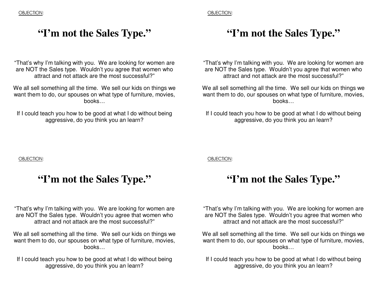## **"I'm not the Sales Type."**

"That's why I'm talking with you. We are looking for women are are NOT the Sales type. Wouldn't you agree that women who attract and not attack are the most successful?"

We all sell something all the time. We sell our kids on things we want them to do, our spouses on what type of furniture, movies, books…

If I could teach you how to be good at what I do without being aggressive, do you think you an learn?

# **"I'm not the Sales Type."**

"That's why I'm talking with you. We are looking for women are are NOT the Sales type. Wouldn't you agree that women who attract and not attack are the most successful?"

We all sell something all the time. We sell our kids on things we want them to do, our spouses on what type of furniture, movies, books…

If I could teach you how to be good at what I do without being aggressive, do you think you an learn?

OBJECTION:

### **"I'm not the Sales Type."**

"That's why I'm talking with you. We are looking for women are are NOT the Sales type. Wouldn't you agree that women who attract and not attack are the most successful?"

We all sell something all the time. We sell our kids on things we want them to do, our spouses on what type of furniture, movies, books…

If I could teach you how to be good at what I do without being aggressive, do you think you an learn?

OBJECTION:

## **"I'm not the Sales Type."**

"That's why I'm talking with you. We are looking for women are are NOT the Sales type. Wouldn't you agree that women who attract and not attack are the most successful?"

We all sell something all the time. We sell our kids on things we want them to do, our spouses on what type of furniture, movies, books…

If I could teach you how to be good at what I do without being aggressive, do you think you an learn?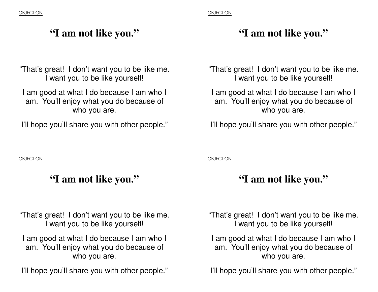### **"I am not like you."**

"That's great! I don't want you to be like me. I want you to be like yourself!

I am good at what I do because I am who I am. You'll enjoy what you do because of who you are.

I'll hope you'll share you with other people."

OBJECTION:

### **"I am not like you."**

"That's great! I don't want you to be like me. I want you to be like yourself!

I am good at what I do because I am who I am. You'll enjoy what you do because of who you are.

I'll hope you'll share you with other people."

# **"I am not like you."**

"That's great! I don't want you to be like me. I want you to be like yourself!

I am good at what I do because I am who I am. You'll enjoy what you do because of who you are.

I'll hope you'll share you with other people."

OBJECTION:

# **"I am not like you."**

"That's great! I don't want you to be like me. I want you to be like yourself!

I am good at what I do because I am who I am. You'll enjoy what you do because of who you are.

I'll hope you'll share you with other people."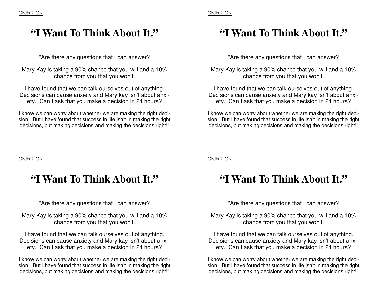### **"I Want To Think About It."**

"Are there any questions that I can answer?

Mary Kay is taking a 90% chance that you will and a 10% chance from you that you won't.

I have found that we can talk ourselves out of anything. Decisions can cause anxiety and Mary kay isn't about anxiety. Can I ask that you make a decision in 24 hours?

I know we can worry about whether we are making the right decision. But I have found that success in life isn't in making the right decisions, but making decisions and making the decisions right!"

## **"I Want To Think About It."**

"Are there any questions that I can answer?

Mary Kay is taking a 90% chance that you will and a 10% chance from you that you won't.

I have found that we can talk ourselves out of anything. Decisions can cause anxiety and Mary kay isn't about anxiety. Can I ask that you make a decision in 24 hours?

I know we can worry about whether we are making the right decision. But I have found that success in life isn't in making the right decisions, but making decisions and making the decisions right!"

#### OBJECTION:

### **"I Want To Think About It."**

"Are there any questions that I can answer?

Mary Kay is taking a 90% chance that you will and a 10% chance from you that you won't.

I have found that we can talk ourselves out of anything. Decisions can cause anxiety and Mary kay isn't about anxiety. Can I ask that you make a decision in 24 hours?

I know we can worry about whether we are making the right decision. But I have found that success in life isn't in making the right decisions, but making decisions and making the decisions right!"

OBJECTION:

# **"I Want To Think About It."**

"Are there any questions that I can answer?

Mary Kay is taking a 90% chance that you will and a 10% chance from you that you won't.

I have found that we can talk ourselves out of anything. Decisions can cause anxiety and Mary kay isn't about anxiety. Can I ask that you make a decision in 24 hours?

I know we can worry about whether we are making the right decision. But I have found that success in life isn't in making the right decisions, but making decisions and making the decisions right!"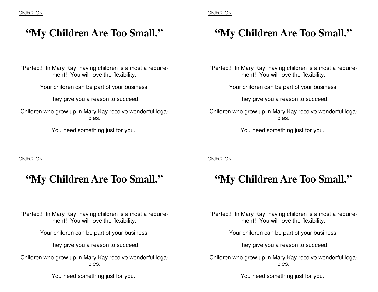## **"My Children Are Too Small."**

"Perfect! In Mary Kay, having children is almost a requirement! You will love the flexibility.

Your children can be part of your business!

They give you a reason to succeed.

Children who grow up in Mary Kay receive wonderful legacies.

You need something just for you."

#### OBJECTION:

## **"My Children Are Too Small."**

"Perfect! In Mary Kay, having children is almost a requirement! You will love the flexibility.

Your children can be part of your business!

They give you a reason to succeed.

Children who grow up in Mary Kay receive wonderful legacies.

You need something just for you."

## **"My Children Are Too Small."**

"Perfect! In Mary Kay, having children is almost a requirement! You will love the flexibility.

Your children can be part of your business!

They give you a reason to succeed.

Children who grow up in Mary Kay receive wonderful legacies.

You need something just for you."

OBJECTION:

## **"My Children Are Too Small."**

"Perfect! In Mary Kay, having children is almost a requirement! You will love the flexibility.

Your children can be part of your business!

They give you a reason to succeed.

Children who grow up in Mary Kay receive wonderful legacies.

You need something just for you."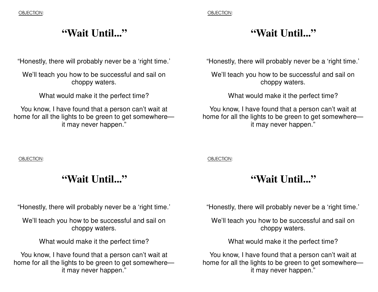#### OBJECTION:

## **"Wait Until..."**

"Honestly, there will probably never be a 'right time.'

**"Wait Until..."** 

We'll teach you how to be successful and sail on choppy waters.

What would make it the perfect time?

You know, I have found that a person can't wait at home for all the lights to be green to get somewhereit may never happen."

"Honestly, there will probably never be a 'right time.'

We'll teach you how to be successful and sail on choppy waters.

What would make it the perfect time?

You know, I have found that a person can't wait at home for all the lights to be green to get somewhereit may never happen."

OBJECTION:

#### **"Wait Until..."**

"Honestly, there will probably never be a 'right time.'

We'll teach you how to be successful and sail on choppy waters.

What would make it the perfect time?

You know, I have found that a person can't wait at home for all the lights to be green to get somewhereit may never happen."

OBJECTION:

## **"Wait Until..."**

"Honestly, there will probably never be a 'right time.'

We'll teach you how to be successful and sail on choppy waters.

What would make it the perfect time?

You know, I have found that a person can't wait at home for all the lights to be green to get somewhereit may never happen."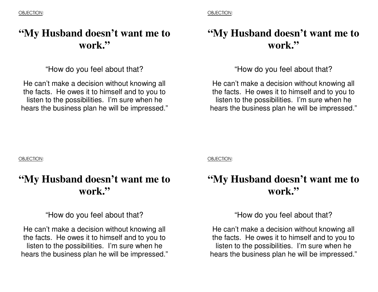## **"My Husband doesn't want me to** work."

"How do you feel about that?

He can't make a decision without knowing all the facts. He owes it to himself and to you to listen to the possibilities. I'm sure when he hears the business plan he will be impressed."

## **"My Husband doesn't want me to** work."

"How do you feel about that?

He can't make a decision without knowing all the facts. He owes it to himself and to you to listen to the possibilities. I'm sure when he hears the business plan he will be impressed."

OBJECTION:

## **"My Husband doesn't want me to** work."

"How do you feel about that?

He can't make a decision without knowing all the facts. He owes it to himself and to you to listen to the possibilities. I'm sure when he hears the business plan he will be impressed." OBJECTION:

## **"My Husband doesn't want me to** work."

"How do you feel about that?

He can't make a decision without knowing all the facts. He owes it to himself and to you to listen to the possibilities. I'm sure when he hears the business plan he will be impressed."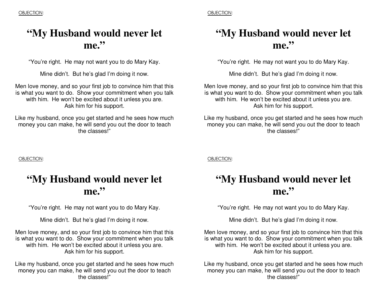## **"My Husband would never let me."**

"You're right. He may not want you to do Mary Kay.

Mine didn't. But he's glad I'm doing it now.

Men love money, and so your first job to convince him that this is what you want to do. Show your commitment when you talk with him. He won't be excited about it unless you are. Ask him for his support.

Like my husband, once you get started and he sees how much money you can make, he will send you out the door to teachthe classes!"

## **"My Husband would never let me."**

"You're right. He may not want you to do Mary Kay.

Mine didn't. But he's glad I'm doing it now.

Men love money, and so your first job to convince him that this is what you want to do. Show your commitment when you talk with him. He won't be excited about it unless you are. Ask him for his support.

Like my husband, once you get started and he sees how much money you can make, he will send you out the door to teachthe classes!"

OBJECTION:

## **"My Husband would never let me."**

"You're right. He may not want you to do Mary Kay.

Mine didn't. But he's glad I'm doing it now.

Men love money, and so your first job to convince him that this is what you want to do. Show your commitment when you talk with him. He won't be excited about it unless you are. Ask him for his support.

Like my husband, once you get started and he sees how much money you can make, he will send you out the door to teachthe classes!"

OBJECTION:

## **"My Husband would never let me."**

"You're right. He may not want you to do Mary Kay.

Mine didn't. But he's glad I'm doing it now.

Men love money, and so your first job to convince him that this is what you want to do. Show your commitment when you talk with him. He won't be excited about it unless you are. Ask him for his support.

Like my husband, once you get started and he sees how much money you can make, he will send you out the door to teachthe classes!"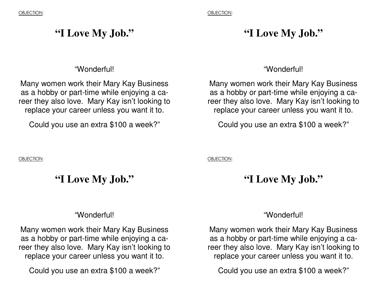### **"I Love My Job."**

# **"I Love My Job."**

#### "Wonderful!

Many women work their Mary Kay Business as a hobby or part-time while enjoying a career they also love. Mary Kay isn't looking to replace your career unless you want it to.

Could you use an extra \$100 a week?"

OBJECTION:

### **"I Love My Job."**

#### "Wonderful!

Many women work their Mary Kay Business as a hobby or part-time while enjoying a career they also love. Mary Kay isn't looking to replace your career unless you want it to.

Could you use an extra \$100 a week?"

#### "Wonderful!

Many women work their Mary Kay Business as a hobby or part-time while enjoying a career they also love. Mary Kay isn't looking to replace your career unless you want it to.

Could you use an extra \$100 a week?"

OBJECTION:

## **"I Love My Job."**

#### "Wonderful!

Many women work their Mary Kay Business as a hobby or part-time while enjoying a career they also love. Mary Kay isn't looking to replace your career unless you want it to.

Could you use an extra \$100 a week?"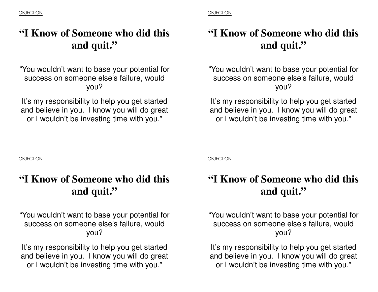## **"I Know of Someone who did this and quit."**

"You wouldn't want to base your potential for success on someone else's failure, would you?

It's my responsibility to help you get started and believe in you. I know you will do great or I wouldn't be investing time with you."

## **"I Know of Someone who did this and quit."**

"You wouldn't want to base your potential for success on someone else's failure, would you?

It's my responsibility to help you get started and believe in you. I know you will do great or I wouldn't be investing time with you."

OBJECTION:

## **"I Know of Someone who did this and quit."**

"You wouldn't want to base your potential for success on someone else's failure, would you?

It's my responsibility to help you get started and believe in you. I know you will do great or I wouldn't be investing time with you."

OBJECTION:

## **"I Know of Someone who did this and quit."**

"You wouldn't want to base your potential for success on someone else's failure, would you?

It's my responsibility to help you get started and believe in you. I know you will do great or I wouldn't be investing time with you."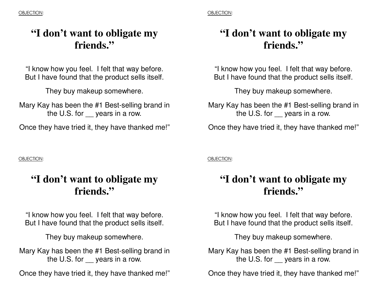## **"I don't want to obligate my friends."**

"I know how you feel. I felt that way before. But I have found that the product sells itself.

They buy makeup somewhere.

Mary Kay has been the #1 Best-selling brand in the U.S. for years in a row.

Once they have tried it, they have thanked me!"

#### OBJECTION:

## **"I don't want to obligate my friends."**

"I know how you feel. I felt that way before. But I have found that the product sells itself.

They buy makeup somewhere.

Mary Kay has been the #1 Best-selling brand in the U.S. for years in a row.

Once they have tried it, they have thanked me!"

## **"I don't want to obligate my friends."**

"I know how you feel. I felt that way before. But I have found that the product sells itself.

They buy makeup somewhere.

Mary Kay has been the #1 Best-selling brand in the U.S. for years in a row.

Once they have tried it, they have thanked me!"

OBJECTION:

## **"I don't want to obligate my friends."**

"I know how you feel. I felt that way before. But I have found that the product sells itself.

They buy makeup somewhere.

Mary Kay has been the #1 Best-selling brand in the U.S. for years in a row.

Once they have tried it, they have thanked me!"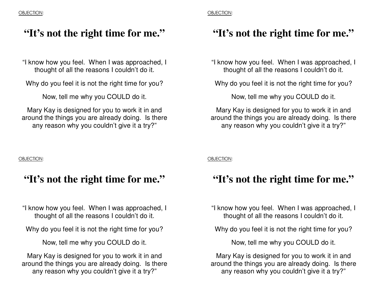### **"It's not the right time for me."**

"I know how you feel. When I was approached, I thought of all the reasons I couldn't do it.

Why do you feel it is not the right time for you?

Now, tell me why you COULD do it.

Mary Kay is designed for you to work it in and around the things you are already doing. Is there any reason why you couldn't give it a try?"

#### OBJECTION:

### **"It's not the right time for me."**

"I know how you feel. When I was approached, I thought of all the reasons I couldn't do it.

Why do you feel it is not the right time for you?

Now, tell me why you COULD do it.

Mary Kay is designed for you to work it in and around the things you are already doing. Is there any reason why you couldn't give it a try?"

## **"It's not the right time for me."**

"I know how you feel. When I was approached, I thought of all the reasons I couldn't do it.

Why do you feel it is not the right time for you?

Now, tell me why you COULD do it.

Mary Kay is designed for you to work it in and around the things you are already doing. Is there any reason why you couldn't give it a try?"

OBJECTION:

## **"It's not the right time for me."**

"I know how you feel. When I was approached, I thought of all the reasons I couldn't do it.

Why do you feel it is not the right time for you?

Now, tell me why you COULD do it.

Mary Kay is designed for you to work it in and around the things you are already doing. Is there any reason why you couldn't give it a try?"